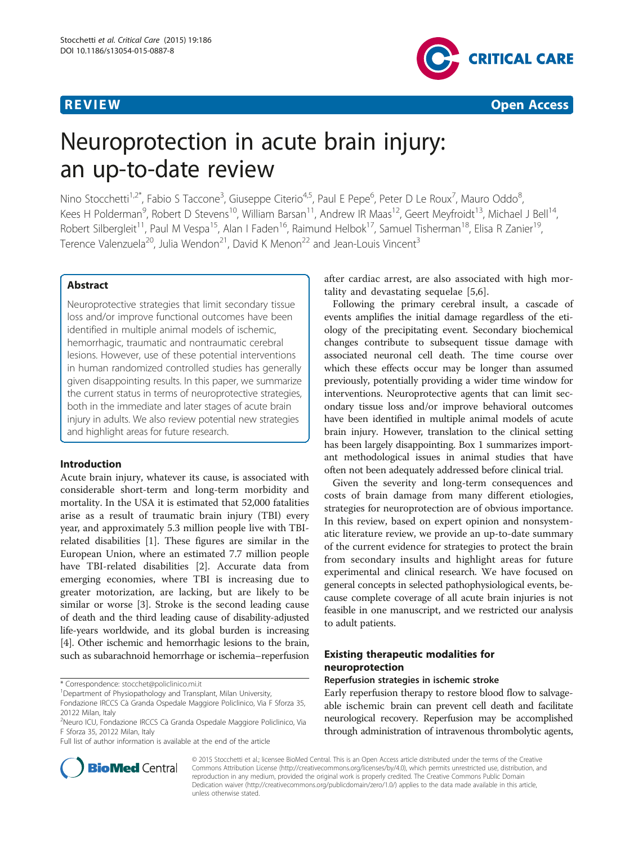

# Neuroprotection in acute brain injury: an up-to-date review

Nino Stocchetti<sup>1,2\*</sup>, Fabio S Taccone<sup>3</sup>, Giuseppe Citerio<sup>4,5</sup>, Paul E Pepe<sup>6</sup>, Peter D Le Roux<sup>7</sup>, Mauro Oddo<sup>8</sup> , Kees H Polderman<sup>9</sup>, Robert D Stevens<sup>10</sup>, William Barsan<sup>11</sup>, Andrew IR Maas<sup>12</sup>, Geert Meyfroidt<sup>13</sup>, Michael J Bell<sup>14</sup>, Robert Silbergleit<sup>11</sup>, Paul M Vespa<sup>15</sup>, Alan I Faden<sup>16</sup>, Raimund Helbok<sup>17</sup>, Samuel Tisherman<sup>18</sup>, Elisa R Zanier<sup>19</sup>, Terence Valenzuela<sup>20</sup>, Julia Wendon<sup>21</sup>, David K Menon<sup>22</sup> and Jean-Louis Vincent<sup>3</sup>

# Abstract

Neuroprotective strategies that limit secondary tissue loss and/or improve functional outcomes have been identified in multiple animal models of ischemic, hemorrhagic, traumatic and nontraumatic cerebral lesions. However, use of these potential interventions in human randomized controlled studies has generally given disappointing results. In this paper, we summarize the current status in terms of neuroprotective strategies, both in the immediate and later stages of acute brain injury in adults. We also review potential new strategies and highlight areas for future research.

# Introduction

Acute brain injury, whatever its cause, is associated with considerable short-term and long-term morbidity and mortality. In the USA it is estimated that 52,000 fatalities arise as a result of traumatic brain injury (TBI) every year, and approximately 5.3 million people live with TBIrelated disabilities [[1\]](#page-7-0). These figures are similar in the European Union, where an estimated 7.7 million people have TBI-related disabilities [\[2](#page-7-0)]. Accurate data from emerging economies, where TBI is increasing due to greater motorization, are lacking, but are likely to be similar or worse [[3\]](#page-7-0). Stroke is the second leading cause of death and the third leading cause of disability-adjusted life-years worldwide, and its global burden is increasing [[4\]](#page-7-0). Other ischemic and hemorrhagic lesions to the brain, such as subarachnoid hemorrhage or ischemia–reperfusion

\* Correspondence: [stocchet@policlinico.mi.it](mailto:stocchet@policlinico.mi.it) <sup>1</sup>

Full list of author information is available at the end of the article



Following the primary cerebral insult, a cascade of events amplifies the initial damage regardless of the etiology of the precipitating event. Secondary biochemical changes contribute to subsequent tissue damage with associated neuronal cell death. The time course over which these effects occur may be longer than assumed previously, potentially providing a wider time window for interventions. Neuroprotective agents that can limit secondary tissue loss and/or improve behavioral outcomes have been identified in multiple animal models of acute brain injury. However, translation to the clinical setting has been largely disappointing. Box 1 summarizes important methodological issues in animal studies that have often not been adequately addressed before clinical trial.

Given the severity and long-term consequences and costs of brain damage from many different etiologies, strategies for neuroprotection are of obvious importance. In this review, based on expert opinion and nonsystematic literature review, we provide an up-to-date summary of the current evidence for strategies to protect the brain from secondary insults and highlight areas for future experimental and clinical research. We have focused on general concepts in selected pathophysiological events, because complete coverage of all acute brain injuries is not feasible in one manuscript, and we restricted our analysis to adult patients.

# Existing therapeutic modalities for neuroprotection

### Reperfusion strategies in ischemic stroke

Early reperfusion therapy to restore blood flow to salvageable ischemic brain can prevent cell death and facilitate neurological recovery. Reperfusion may be accomplished through administration of intravenous thrombolytic agents,



© 2015 Stocchetti et al.; licensee BioMed Central. This is an Open Access article distributed under the terms of the Creative Commons Attribution License [\(http://creativecommons.org/licenses/by/4.0\)](http://creativecommons.org/licenses/by/4.0), which permits unrestricted use, distribution, and reproduction in any medium, provided the original work is properly credited. The Creative Commons Public Domain Dedication waiver [\(http://creativecommons.org/publicdomain/zero/1.0/](http://creativecommons.org/publicdomain/zero/1.0/)) applies to the data made available in this article, unless otherwise stated.

<sup>&</sup>lt;sup>1</sup>Department of Physiopathology and Transplant, Milan University,

Fondazione IRCCS Cà Granda Ospedale Maggiore Policlinico, Via F Sforza 35, 20122 Milan, Italy

<sup>2</sup> Neuro ICU, Fondazione IRCCS Cà Granda Ospedale Maggiore Policlinico, Via F Sforza 35, 20122 Milan, Italy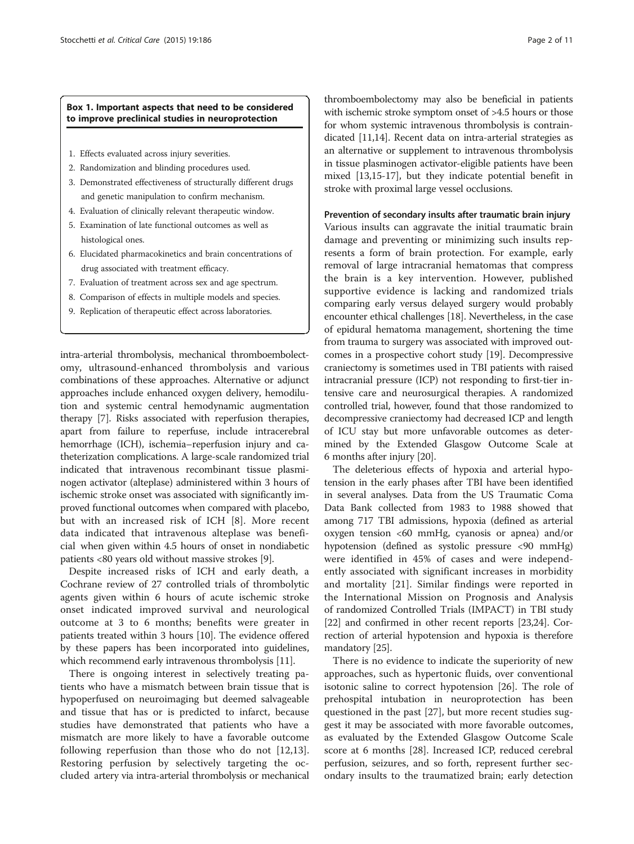# Box 1. Important aspects that need to be considered to improve preclinical studies in neuroprotection

- 1. Effects evaluated across injury severities.
- 2. Randomization and blinding procedures used.
- 3. Demonstrated effectiveness of structurally different drugs and genetic manipulation to confirm mechanism.
- 4. Evaluation of clinically relevant therapeutic window.
- 5. Examination of late functional outcomes as well as histological ones.
- 6. Elucidated pharmacokinetics and brain concentrations of drug associated with treatment efficacy.
- 7. Evaluation of treatment across sex and age spectrum.
- 8. Comparison of effects in multiple models and species.
- 9. Replication of therapeutic effect across laboratories.

intra-arterial thrombolysis, mechanical thromboembolectomy, ultrasound-enhanced thrombolysis and various combinations of these approaches. Alternative or adjunct approaches include enhanced oxygen delivery, hemodilution and systemic central hemodynamic augmentation therapy [\[7](#page-7-0)]. Risks associated with reperfusion therapies, apart from failure to reperfuse, include intracerebral hemorrhage (ICH), ischemia–reperfusion injury and catheterization complications. A large-scale randomized trial indicated that intravenous recombinant tissue plasminogen activator (alteplase) administered within 3 hours of ischemic stroke onset was associated with significantly improved functional outcomes when compared with placebo, but with an increased risk of ICH [[8\]](#page-8-0). More recent data indicated that intravenous alteplase was beneficial when given within 4.5 hours of onset in nondiabetic patients <80 years old without massive strokes [[9](#page-8-0)].

Despite increased risks of ICH and early death, a Cochrane review of 27 controlled trials of thrombolytic agents given within 6 hours of acute ischemic stroke onset indicated improved survival and neurological outcome at 3 to 6 months; benefits were greater in patients treated within 3 hours [[10](#page-8-0)]. The evidence offered by these papers has been incorporated into guidelines, which recommend early intravenous thrombolysis [[11](#page-8-0)].

There is ongoing interest in selectively treating patients who have a mismatch between brain tissue that is hypoperfused on neuroimaging but deemed salvageable and tissue that has or is predicted to infarct, because studies have demonstrated that patients who have a mismatch are more likely to have a favorable outcome following reperfusion than those who do not [[12,13](#page-8-0)]. Restoring perfusion by selectively targeting the occluded artery via intra-arterial thrombolysis or mechanical

thromboembolectomy may also be beneficial in patients with ischemic stroke symptom onset of >4.5 hours or those for whom systemic intravenous thrombolysis is contraindicated [\[11,14](#page-8-0)]. Recent data on intra-arterial strategies as an alternative or supplement to intravenous thrombolysis in tissue plasminogen activator-eligible patients have been mixed [\[13,15-17\]](#page-8-0), but they indicate potential benefit in stroke with proximal large vessel occlusions.

#### Prevention of secondary insults after traumatic brain injury

Various insults can aggravate the initial traumatic brain damage and preventing or minimizing such insults represents a form of brain protection. For example, early removal of large intracranial hematomas that compress the brain is a key intervention. However, published supportive evidence is lacking and randomized trials comparing early versus delayed surgery would probably encounter ethical challenges [\[18\]](#page-8-0). Nevertheless, in the case of epidural hematoma management, shortening the time from trauma to surgery was associated with improved outcomes in a prospective cohort study [[19](#page-8-0)]. Decompressive craniectomy is sometimes used in TBI patients with raised intracranial pressure (ICP) not responding to first-tier intensive care and neurosurgical therapies. A randomized controlled trial, however, found that those randomized to decompressive craniectomy had decreased ICP and length of ICU stay but more unfavorable outcomes as determined by the Extended Glasgow Outcome Scale at 6 months after injury [\[20\]](#page-8-0).

The deleterious effects of hypoxia and arterial hypotension in the early phases after TBI have been identified in several analyses. Data from the US Traumatic Coma Data Bank collected from 1983 to 1988 showed that among 717 TBI admissions, hypoxia (defined as arterial oxygen tension <60 mmHg, cyanosis or apnea) and/or hypotension (defined as systolic pressure <90 mmHg) were identified in 45% of cases and were independently associated with significant increases in morbidity and mortality [[21](#page-8-0)]. Similar findings were reported in the International Mission on Prognosis and Analysis of randomized Controlled Trials (IMPACT) in TBI study [[22](#page-8-0)] and confirmed in other recent reports [[23,24\]](#page-8-0). Correction of arterial hypotension and hypoxia is therefore mandatory [[25](#page-8-0)].

There is no evidence to indicate the superiority of new approaches, such as hypertonic fluids, over conventional isotonic saline to correct hypotension [\[26\]](#page-8-0). The role of prehospital intubation in neuroprotection has been questioned in the past [\[27\]](#page-8-0), but more recent studies suggest it may be associated with more favorable outcomes, as evaluated by the Extended Glasgow Outcome Scale score at 6 months [[28\]](#page-8-0). Increased ICP, reduced cerebral perfusion, seizures, and so forth, represent further secondary insults to the traumatized brain; early detection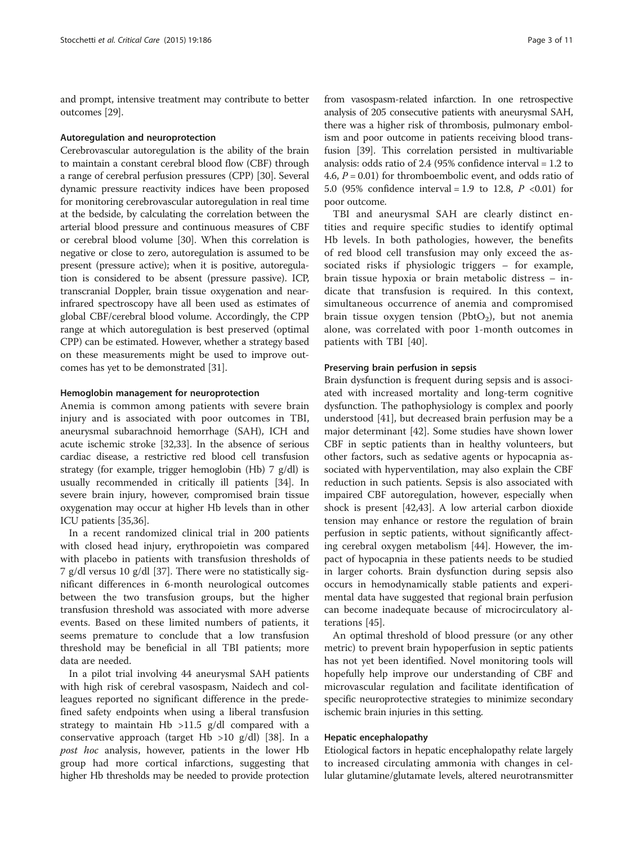and prompt, intensive treatment may contribute to better outcomes [\[29\]](#page-8-0).

#### Autoregulation and neuroprotection

Cerebrovascular autoregulation is the ability of the brain to maintain a constant cerebral blood flow (CBF) through a range of cerebral perfusion pressures (CPP) [\[30](#page-8-0)]. Several dynamic pressure reactivity indices have been proposed for monitoring cerebrovascular autoregulation in real time at the bedside, by calculating the correlation between the arterial blood pressure and continuous measures of CBF or cerebral blood volume [[30](#page-8-0)]. When this correlation is negative or close to zero, autoregulation is assumed to be present (pressure active); when it is positive, autoregulation is considered to be absent (pressure passive). ICP, transcranial Doppler, brain tissue oxygenation and nearinfrared spectroscopy have all been used as estimates of global CBF/cerebral blood volume. Accordingly, the CPP range at which autoregulation is best preserved (optimal CPP) can be estimated. However, whether a strategy based on these measurements might be used to improve outcomes has yet to be demonstrated [[31](#page-8-0)].

#### Hemoglobin management for neuroprotection

Anemia is common among patients with severe brain injury and is associated with poor outcomes in TBI, aneurysmal subarachnoid hemorrhage (SAH), ICH and acute ischemic stroke [[32,33](#page-8-0)]. In the absence of serious cardiac disease, a restrictive red blood cell transfusion strategy (for example, trigger hemoglobin (Hb) 7 g/dl) is usually recommended in critically ill patients [\[34\]](#page-8-0). In severe brain injury, however, compromised brain tissue oxygenation may occur at higher Hb levels than in other ICU patients [[35,36\]](#page-8-0).

In a recent randomized clinical trial in 200 patients with closed head injury, erythropoietin was compared with placebo in patients with transfusion thresholds of 7 g/dl versus 10 g/dl [[37\]](#page-8-0). There were no statistically significant differences in 6-month neurological outcomes between the two transfusion groups, but the higher transfusion threshold was associated with more adverse events. Based on these limited numbers of patients, it seems premature to conclude that a low transfusion threshold may be beneficial in all TBI patients; more data are needed.

In a pilot trial involving 44 aneurysmal SAH patients with high risk of cerebral vasospasm, Naidech and colleagues reported no significant difference in the predefined safety endpoints when using a liberal transfusion strategy to maintain Hb >11.5 g/dl compared with a conservative approach (target Hb  $>10$  g/dl) [\[38](#page-8-0)]. In a post hoc analysis, however, patients in the lower Hb group had more cortical infarctions, suggesting that higher Hb thresholds may be needed to provide protection

from vasospasm-related infarction. In one retrospective analysis of 205 consecutive patients with aneurysmal SAH, there was a higher risk of thrombosis, pulmonary embolism and poor outcome in patients receiving blood transfusion [\[39\]](#page-8-0). This correlation persisted in multivariable analysis: odds ratio of 2.4 (95% confidence interval = 1.2 to 4.6,  $P = 0.01$ ) for thromboembolic event, and odds ratio of 5.0 (95% confidence interval = 1.9 to 12.8,  $P < 0.01$ ) for poor outcome.

TBI and aneurysmal SAH are clearly distinct entities and require specific studies to identify optimal Hb levels. In both pathologies, however, the benefits of red blood cell transfusion may only exceed the associated risks if physiologic triggers – for example, brain tissue hypoxia or brain metabolic distress – indicate that transfusion is required. In this context, simultaneous occurrence of anemia and compromised brain tissue oxygen tension (PbtO<sub>2</sub>), but not anemia alone, was correlated with poor 1-month outcomes in patients with TBI [\[40](#page-8-0)].

#### Preserving brain perfusion in sepsis

Brain dysfunction is frequent during sepsis and is associated with increased mortality and long-term cognitive dysfunction. The pathophysiology is complex and poorly understood [\[41](#page-8-0)], but decreased brain perfusion may be a major determinant [\[42](#page-8-0)]. Some studies have shown lower CBF in septic patients than in healthy volunteers, but other factors, such as sedative agents or hypocapnia associated with hyperventilation, may also explain the CBF reduction in such patients. Sepsis is also associated with impaired CBF autoregulation, however, especially when shock is present [\[42,43\]](#page-8-0). A low arterial carbon dioxide tension may enhance or restore the regulation of brain perfusion in septic patients, without significantly affecting cerebral oxygen metabolism [[44\]](#page-8-0). However, the impact of hypocapnia in these patients needs to be studied in larger cohorts. Brain dysfunction during sepsis also occurs in hemodynamically stable patients and experimental data have suggested that regional brain perfusion can become inadequate because of microcirculatory alterations [[45](#page-8-0)].

An optimal threshold of blood pressure (or any other metric) to prevent brain hypoperfusion in septic patients has not yet been identified. Novel monitoring tools will hopefully help improve our understanding of CBF and microvascular regulation and facilitate identification of specific neuroprotective strategies to minimize secondary ischemic brain injuries in this setting.

### Hepatic encephalopathy

Etiological factors in hepatic encephalopathy relate largely to increased circulating ammonia with changes in cellular glutamine/glutamate levels, altered neurotransmitter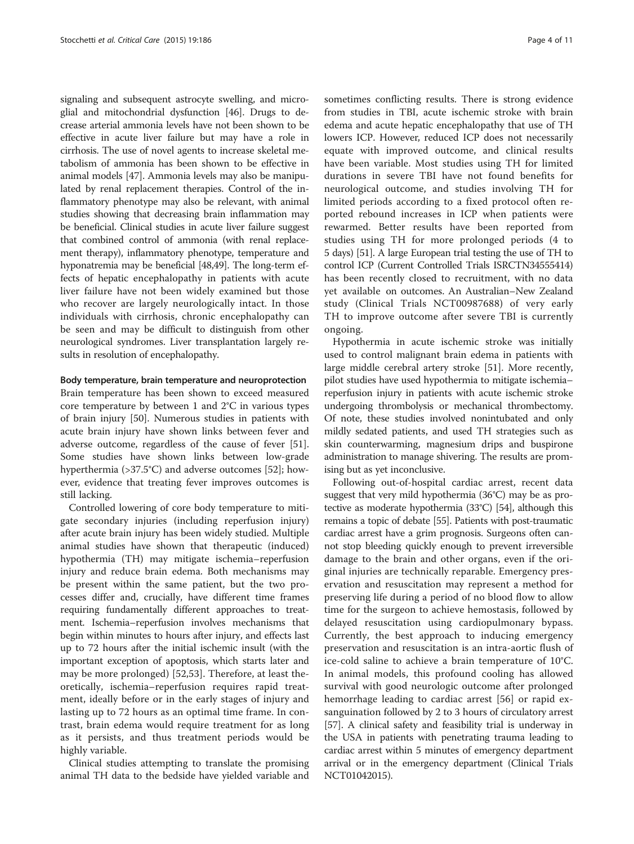signaling and subsequent astrocyte swelling, and microglial and mitochondrial dysfunction [[46\]](#page-8-0). Drugs to decrease arterial ammonia levels have not been shown to be effective in acute liver failure but may have a role in cirrhosis. The use of novel agents to increase skeletal metabolism of ammonia has been shown to be effective in animal models [\[47\]](#page-8-0). Ammonia levels may also be manipulated by renal replacement therapies. Control of the inflammatory phenotype may also be relevant, with animal studies showing that decreasing brain inflammation may be beneficial. Clinical studies in acute liver failure suggest that combined control of ammonia (with renal replacement therapy), inflammatory phenotype, temperature and hyponatremia may be beneficial [\[48,49\]](#page-8-0). The long-term effects of hepatic encephalopathy in patients with acute liver failure have not been widely examined but those who recover are largely neurologically intact. In those individuals with cirrhosis, chronic encephalopathy can be seen and may be difficult to distinguish from other neurological syndromes. Liver transplantation largely results in resolution of encephalopathy.

#### Body temperature, brain temperature and neuroprotection

Brain temperature has been shown to exceed measured core temperature by between 1 and 2°C in various types of brain injury [\[50](#page-8-0)]. Numerous studies in patients with acute brain injury have shown links between fever and adverse outcome, regardless of the cause of fever [\[51](#page-8-0)]. Some studies have shown links between low-grade hyperthermia (>37.5°C) and adverse outcomes [[52\]](#page-8-0); however, evidence that treating fever improves outcomes is still lacking.

Controlled lowering of core body temperature to mitigate secondary injuries (including reperfusion injury) after acute brain injury has been widely studied. Multiple animal studies have shown that therapeutic (induced) hypothermia (TH) may mitigate ischemia–reperfusion injury and reduce brain edema. Both mechanisms may be present within the same patient, but the two processes differ and, crucially, have different time frames requiring fundamentally different approaches to treatment. Ischemia–reperfusion involves mechanisms that begin within minutes to hours after injury, and effects last up to 72 hours after the initial ischemic insult (with the important exception of apoptosis, which starts later and may be more prolonged) [[52,53](#page-8-0)]. Therefore, at least theoretically, ischemia–reperfusion requires rapid treatment, ideally before or in the early stages of injury and lasting up to 72 hours as an optimal time frame. In contrast, brain edema would require treatment for as long as it persists, and thus treatment periods would be highly variable.

Clinical studies attempting to translate the promising animal TH data to the bedside have yielded variable and

sometimes conflicting results. There is strong evidence from studies in TBI, acute ischemic stroke with brain edema and acute hepatic encephalopathy that use of TH lowers ICP. However, reduced ICP does not necessarily equate with improved outcome, and clinical results have been variable. Most studies using TH for limited durations in severe TBI have not found benefits for neurological outcome, and studies involving TH for limited periods according to a fixed protocol often reported rebound increases in ICP when patients were rewarmed. Better results have been reported from studies using TH for more prolonged periods (4 to 5 days) [\[51](#page-8-0)]. A large European trial testing the use of TH to control ICP (Current Controlled Trials ISRCTN34555414) has been recently closed to recruitment, with no data yet available on outcomes. An Australian–New Zealand study (Clinical Trials NCT00987688) of very early TH to improve outcome after severe TBI is currently ongoing.

Hypothermia in acute ischemic stroke was initially used to control malignant brain edema in patients with large middle cerebral artery stroke [\[51\]](#page-8-0). More recently, pilot studies have used hypothermia to mitigate ischemia– reperfusion injury in patients with acute ischemic stroke undergoing thrombolysis or mechanical thrombectomy. Of note, these studies involved nonintubated and only mildly sedated patients, and used TH strategies such as skin counterwarming, magnesium drips and buspirone administration to manage shivering. The results are promising but as yet inconclusive.

Following out-of-hospital cardiac arrest, recent data suggest that very mild hypothermia (36°C) may be as protective as moderate hypothermia (33°C) [\[54](#page-8-0)], although this remains a topic of debate [\[55](#page-9-0)]. Patients with post-traumatic cardiac arrest have a grim prognosis. Surgeons often cannot stop bleeding quickly enough to prevent irreversible damage to the brain and other organs, even if the original injuries are technically reparable. Emergency preservation and resuscitation may represent a method for preserving life during a period of no blood flow to allow time for the surgeon to achieve hemostasis, followed by delayed resuscitation using cardiopulmonary bypass. Currently, the best approach to inducing emergency preservation and resuscitation is an intra-aortic flush of ice-cold saline to achieve a brain temperature of 10°C. In animal models, this profound cooling has allowed survival with good neurologic outcome after prolonged hemorrhage leading to cardiac arrest [[56\]](#page-9-0) or rapid exsanguination followed by 2 to 3 hours of circulatory arrest [[57](#page-9-0)]. A clinical safety and feasibility trial is underway in the USA in patients with penetrating trauma leading to cardiac arrest within 5 minutes of emergency department arrival or in the emergency department (Clinical Trials NCT01042015).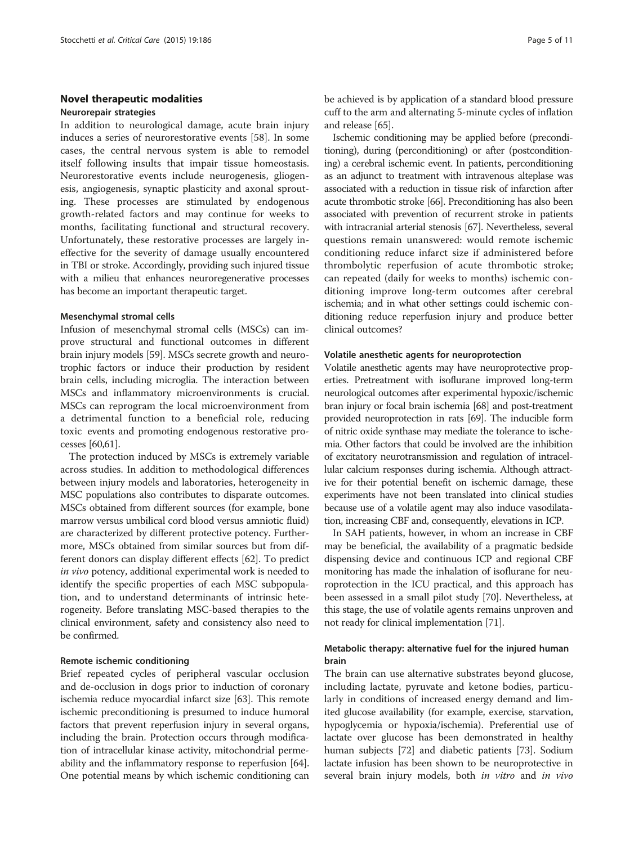# Novel therapeutic modalities Neurorepair strategies

In addition to neurological damage, acute brain injury induces a series of neurorestorative events [[58](#page-9-0)]. In some cases, the central nervous system is able to remodel itself following insults that impair tissue homeostasis. Neurorestorative events include neurogenesis, gliogenesis, angiogenesis, synaptic plasticity and axonal sprouting. These processes are stimulated by endogenous growth-related factors and may continue for weeks to months, facilitating functional and structural recovery. Unfortunately, these restorative processes are largely ineffective for the severity of damage usually encountered in TBI or stroke. Accordingly, providing such injured tissue with a milieu that enhances neuroregenerative processes has become an important therapeutic target.

#### Mesenchymal stromal cells

Infusion of mesenchymal stromal cells (MSCs) can improve structural and functional outcomes in different brain injury models [\[59](#page-9-0)]. MSCs secrete growth and neurotrophic factors or induce their production by resident brain cells, including microglia. The interaction between MSCs and inflammatory microenvironments is crucial. MSCs can reprogram the local microenvironment from a detrimental function to a beneficial role, reducing toxic events and promoting endogenous restorative processes [\[60,61\]](#page-9-0).

The protection induced by MSCs is extremely variable across studies. In addition to methodological differences between injury models and laboratories, heterogeneity in MSC populations also contributes to disparate outcomes. MSCs obtained from different sources (for example, bone marrow versus umbilical cord blood versus amniotic fluid) are characterized by different protective potency. Furthermore, MSCs obtained from similar sources but from different donors can display different effects [\[62\]](#page-9-0). To predict in vivo potency, additional experimental work is needed to identify the specific properties of each MSC subpopulation, and to understand determinants of intrinsic heterogeneity. Before translating MSC-based therapies to the clinical environment, safety and consistency also need to be confirmed.

#### Remote ischemic conditioning

Brief repeated cycles of peripheral vascular occlusion and de-occlusion in dogs prior to induction of coronary ischemia reduce myocardial infarct size [[63](#page-9-0)]. This remote ischemic preconditioning is presumed to induce humoral factors that prevent reperfusion injury in several organs, including the brain. Protection occurs through modification of intracellular kinase activity, mitochondrial permeability and the inflammatory response to reperfusion [[64](#page-9-0)]. One potential means by which ischemic conditioning can be achieved is by application of a standard blood pressure cuff to the arm and alternating 5-minute cycles of inflation and release [[65\]](#page-9-0).

Ischemic conditioning may be applied before (preconditioning), during (perconditioning) or after (postconditioning) a cerebral ischemic event. In patients, perconditioning as an adjunct to treatment with intravenous alteplase was associated with a reduction in tissue risk of infarction after acute thrombotic stroke [\[66\]](#page-9-0). Preconditioning has also been associated with prevention of recurrent stroke in patients with intracranial arterial stenosis [\[67\]](#page-9-0). Nevertheless, several questions remain unanswered: would remote ischemic conditioning reduce infarct size if administered before thrombolytic reperfusion of acute thrombotic stroke; can repeated (daily for weeks to months) ischemic conditioning improve long-term outcomes after cerebral ischemia; and in what other settings could ischemic conditioning reduce reperfusion injury and produce better clinical outcomes?

#### Volatile anesthetic agents for neuroprotection

Volatile anesthetic agents may have neuroprotective properties. Pretreatment with isoflurane improved long-term neurological outcomes after experimental hypoxic/ischemic bran injury or focal brain ischemia [\[68\]](#page-9-0) and post-treatment provided neuroprotection in rats [\[69\]](#page-9-0). The inducible form of nitric oxide synthase may mediate the tolerance to ischemia. Other factors that could be involved are the inhibition of excitatory neurotransmission and regulation of intracellular calcium responses during ischemia. Although attractive for their potential benefit on ischemic damage, these experiments have not been translated into clinical studies because use of a volatile agent may also induce vasodilatation, increasing CBF and, consequently, elevations in ICP.

In SAH patients, however, in whom an increase in CBF may be beneficial, the availability of a pragmatic bedside dispensing device and continuous ICP and regional CBF monitoring has made the inhalation of isoflurane for neuroprotection in the ICU practical, and this approach has been assessed in a small pilot study [\[70](#page-9-0)]. Nevertheless, at this stage, the use of volatile agents remains unproven and not ready for clinical implementation [\[71\]](#page-9-0).

# Metabolic therapy: alternative fuel for the injured human brain

The brain can use alternative substrates beyond glucose, including lactate, pyruvate and ketone bodies, particularly in conditions of increased energy demand and limited glucose availability (for example, exercise, starvation, hypoglycemia or hypoxia/ischemia). Preferential use of lactate over glucose has been demonstrated in healthy human subjects [\[72\]](#page-9-0) and diabetic patients [\[73\]](#page-9-0). Sodium lactate infusion has been shown to be neuroprotective in several brain injury models, both in vitro and in vivo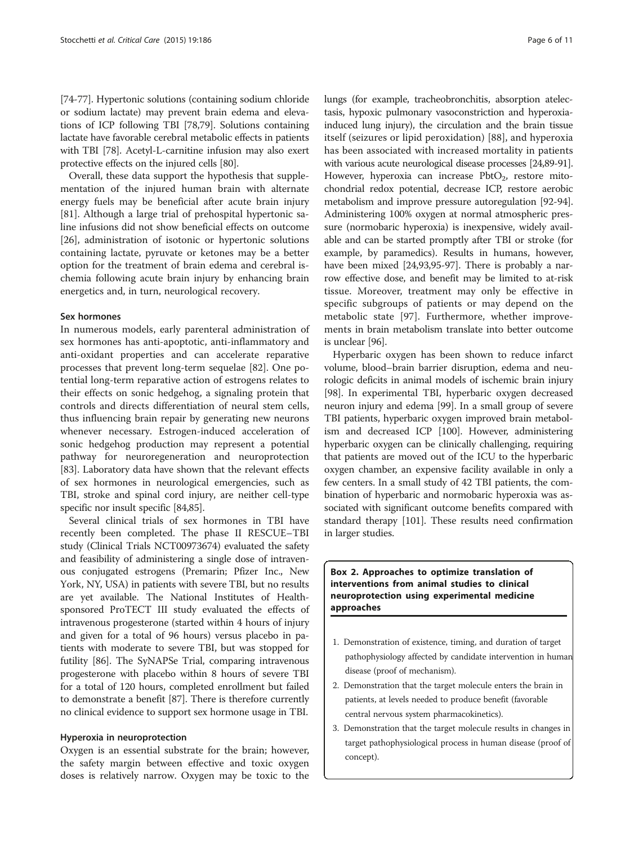[[74](#page-9-0)-[77\]](#page-9-0). Hypertonic solutions (containing sodium chloride or sodium lactate) may prevent brain edema and elevations of ICP following TBI [\[78,79](#page-9-0)]. Solutions containing lactate have favorable cerebral metabolic effects in patients with TBI [\[78](#page-9-0)]. Acetyl-L-carnitine infusion may also exert protective effects on the injured cells [[80](#page-9-0)].

Overall, these data support the hypothesis that supplementation of the injured human brain with alternate energy fuels may be beneficial after acute brain injury [[81\]](#page-9-0). Although a large trial of prehospital hypertonic saline infusions did not show beneficial effects on outcome [[26\]](#page-8-0), administration of isotonic or hypertonic solutions containing lactate, pyruvate or ketones may be a better option for the treatment of brain edema and cerebral ischemia following acute brain injury by enhancing brain energetics and, in turn, neurological recovery.

# Sex hormones

In numerous models, early parenteral administration of sex hormones has anti-apoptotic, anti-inflammatory and anti-oxidant properties and can accelerate reparative processes that prevent long-term sequelae [\[82](#page-9-0)]. One potential long-term reparative action of estrogens relates to their effects on sonic hedgehog, a signaling protein that controls and directs differentiation of neural stem cells, thus influencing brain repair by generating new neurons whenever necessary. Estrogen-induced acceleration of sonic hedgehog production may represent a potential pathway for neuroregeneration and neuroprotection [[83](#page-9-0)]. Laboratory data have shown that the relevant effects of sex hormones in neurological emergencies, such as TBI, stroke and spinal cord injury, are neither cell-type specific nor insult specific [[84,85](#page-9-0)].

Several clinical trials of sex hormones in TBI have recently been completed. The phase II RESCUE–TBI study (Clinical Trials NCT00973674) evaluated the safety and feasibility of administering a single dose of intravenous conjugated estrogens (Premarin; Pfizer Inc., New York, NY, USA) in patients with severe TBI, but no results are yet available. The National Institutes of Healthsponsored ProTECT III study evaluated the effects of intravenous progesterone (started within 4 hours of injury and given for a total of 96 hours) versus placebo in patients with moderate to severe TBI, but was stopped for futility [\[86\]](#page-9-0). The SyNAPSe Trial, comparing intravenous progesterone with placebo within 8 hours of severe TBI for a total of 120 hours, completed enrollment but failed to demonstrate a benefit [\[87\]](#page-9-0). There is therefore currently no clinical evidence to support sex hormone usage in TBI.

#### Hyperoxia in neuroprotection

Oxygen is an essential substrate for the brain; however, the safety margin between effective and toxic oxygen doses is relatively narrow. Oxygen may be toxic to the lungs (for example, tracheobronchitis, absorption atelectasis, hypoxic pulmonary vasoconstriction and hyperoxiainduced lung injury), the circulation and the brain tissue itself (seizures or lipid peroxidation) [[88\]](#page-9-0), and hyperoxia has been associated with increased mortality in patients with various acute neurological disease processes [\[24,](#page-8-0)[89-91\]](#page-9-0). However, hyperoxia can increase  $PbtO<sub>2</sub>$ , restore mitochondrial redox potential, decrease ICP, restore aerobic metabolism and improve pressure autoregulation [[92](#page-9-0)-[94](#page-9-0)]. Administering 100% oxygen at normal atmospheric pressure (normobaric hyperoxia) is inexpensive, widely available and can be started promptly after TBI or stroke (for example, by paramedics). Results in humans, however, have been mixed [[24](#page-8-0)[,93,95-97\]](#page-9-0). There is probably a narrow effective dose, and benefit may be limited to at-risk tissue. Moreover, treatment may only be effective in specific subgroups of patients or may depend on the metabolic state [\[97](#page-9-0)]. Furthermore, whether improvements in brain metabolism translate into better outcome is unclear [[96](#page-9-0)].

Hyperbaric oxygen has been shown to reduce infarct volume, blood–brain barrier disruption, edema and neurologic deficits in animal models of ischemic brain injury [[98](#page-10-0)]. In experimental TBI, hyperbaric oxygen decreased neuron injury and edema [\[99\]](#page-10-0). In a small group of severe TBI patients, hyperbaric oxygen improved brain metabolism and decreased ICP [[100](#page-10-0)]. However, administering hyperbaric oxygen can be clinically challenging, requiring that patients are moved out of the ICU to the hyperbaric oxygen chamber, an expensive facility available in only a few centers. In a small study of 42 TBI patients, the combination of hyperbaric and normobaric hyperoxia was associated with significant outcome benefits compared with standard therapy [[101](#page-10-0)]. These results need confirmation in larger studies.

# Box 2. Approaches to optimize translation of interventions from animal studies to clinical neuroprotection using experimental medicine approaches

- 1. Demonstration of existence, timing, and duration of target pathophysiology affected by candidate intervention in human disease (proof of mechanism).
- 2. Demonstration that the target molecule enters the brain in patients, at levels needed to produce benefit (favorable central nervous system pharmacokinetics).
- 3. Demonstration that the target molecule results in changes in target pathophysiological process in human disease (proof of concept).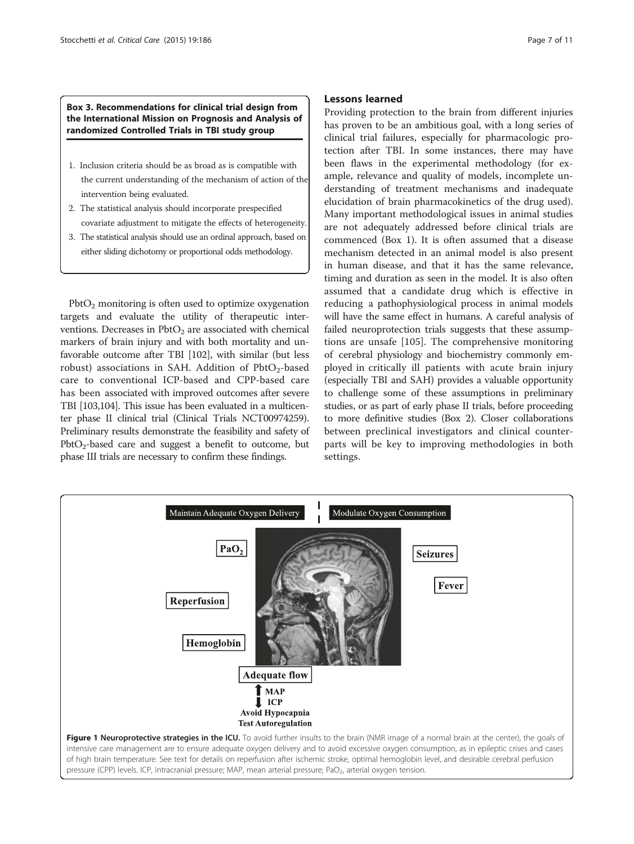<span id="page-6-0"></span>Box 3. Recommendations for clinical trial design from the International Mission on Prognosis and Analysis of randomized Controlled Trials in TBI study group

- 1. Inclusion criteria should be as broad as is compatible with the current understanding of the mechanism of action of the intervention being evaluated.
- 2. The statistical analysis should incorporate prespecified covariate adjustment to mitigate the effects of heterogeneity.
- 3. The statistical analysis should use an ordinal approach, based on either sliding dichotomy or proportional odds methodology.

 $PbtO<sub>2</sub>$  monitoring is often used to optimize oxygenation targets and evaluate the utility of therapeutic interventions. Decreases in  $Pb$ t $O<sub>2</sub>$  are associated with chemical markers of brain injury and with both mortality and unfavorable outcome after TBI [\[102](#page-10-0)], with similar (but less robust) associations in SAH. Addition of  $Pb$ tO<sub>2</sub>-based care to conventional ICP-based and CPP-based care has been associated with improved outcomes after severe TBI [[103,104\]](#page-10-0). This issue has been evaluated in a multicenter phase II clinical trial (Clinical Trials NCT00974259). Preliminary results demonstrate the feasibility and safety of  $PbtO<sub>2</sub>$ -based care and suggest a benefit to outcome, but phase III trials are necessary to confirm these findings.

# Lessons learned

Providing protection to the brain from different injuries has proven to be an ambitious goal, with a long series of clinical trial failures, especially for pharmacologic protection after TBI. In some instances, there may have been flaws in the experimental methodology (for example, relevance and quality of models, incomplete understanding of treatment mechanisms and inadequate elucidation of brain pharmacokinetics of the drug used). Many important methodological issues in animal studies are not adequately addressed before clinical trials are commenced (Box 1). It is often assumed that a disease mechanism detected in an animal model is also present in human disease, and that it has the same relevance, timing and duration as seen in the model. It is also often assumed that a candidate drug which is effective in reducing a pathophysiological process in animal models will have the same effect in humans. A careful analysis of failed neuroprotection trials suggests that these assumptions are unsafe [\[105](#page-10-0)]. The comprehensive monitoring of cerebral physiology and biochemistry commonly employed in critically ill patients with acute brain injury (especially TBI and SAH) provides a valuable opportunity to challenge some of these assumptions in preliminary studies, or as part of early phase II trials, before proceeding to more definitive studies (Box 2). Closer collaborations between preclinical investigators and clinical counterparts will be key to improving methodologies in both settings.

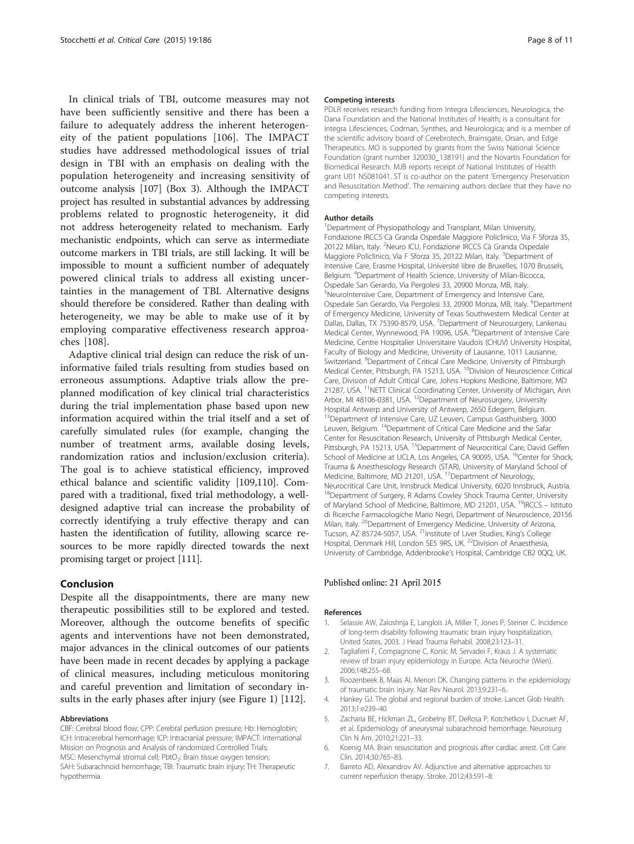<span id="page-7-0"></span>In clinical trials of TBI, outcome measures may not have been sufficiently sensitive and there has been a failure to adequately address the inherent heterogeneity of the patient populations [[106\]](#page-10-0). The IMPACT studies have addressed methodological issues of trial design in TBI with an emphasis on dealing with the population heterogeneity and increasing sensitivity of outcome analysis [\[107\]](#page-10-0) (Box 3). Although the IMPACT project has resulted in substantial advances by addressing problems related to prognostic heterogeneity, it did not address heterogeneity related to mechanism. Early mechanistic endpoints, which can serve as intermediate outcome markers in TBI trials, are still lacking. It will be impossible to mount a sufficient number of adequately powered clinical trials to address all existing uncertainties in the management of TBI. Alternative designs should therefore be considered. Rather than dealing with heterogeneity, we may be able to make use of it by employing comparative effectiveness research approaches [\[108](#page-10-0)].

Adaptive clinical trial design can reduce the risk of uninformative failed trials resulting from studies based on erroneous assumptions. Adaptive trials allow the preplanned modification of key clinical trial characteristics during the trial implementation phase based upon new information acquired within the trial itself and a set of carefully simulated rules (for example, changing the number of treatment arms, available dosing levels, randomization ratios and inclusion/exclusion criteria). The goal is to achieve statistical efficiency, improved ethical balance and scientific validity [[109](#page-10-0),[110](#page-10-0)]. Compared with a traditional, fixed trial methodology, a welldesigned adaptive trial can increase the probability of correctly identifying a truly effective therapy and can hasten the identification of futility, allowing scarce resources to be more rapidly directed towards the next promising target or project [\[111\]](#page-10-0).

### Conclusion

Despite all the disappointments, there are many new therapeutic possibilities still to be explored and tested. Moreover, although the outcome benefits of specific agents and interventions have not been demonstrated, major advances in the clinical outcomes of our patients have been made in recent decades by applying a package of clinical measures, including meticulous monitoring and careful prevention and limitation of secondary insults in the early phases after injury (see Figure [1\)](#page-6-0) [\[112\]](#page-10-0).

#### Abbreviations

CBF: Cerebral blood flow; CPP: Cerebral perfusion pressure; Hb: Hemoglobin; ICH: Intracerebral hemorrhage; ICP: Intracranial pressure; IMPACT: International Mission on Prognosis and Analysis of randomized Controlled Trials; MSC: Mesenchymal stromal cell; PbtO<sub>2</sub>: Brain tissue oxygen tension; SAH: Subarachnoid hemorrhage; TBI: Traumatic brain injury; TH: Therapeutic hypothermia.

#### Competing interests

PDLR receives research funding from Integra Lifesciences, Neurologica, the Dana Foundation and the National Institutes of Health; is a consultant for Integra Lifesciences, Codman, Synthes, and Neurologica; and is a member of the scientific advisory board of Cerebrotech, Brainsgate, Orsan, and Edge Therapeutics. MO is supported by grants from the Swiss National Science Foundation (grant number 320030\_138191) and the Novartis Foundation for Biomedical Research. MJB reports receipt of National Institutes of Health grant U01 NS081041. ST is co-author on the patent 'Emergency Preservation and Resuscitation Method'. The remaining authors declare that they have no competing interests.

#### Author details

<sup>1</sup> Department of Physiopathology and Transplant, Milan University, Fondazione IRCCS Cà Granda Ospedale Maggiore Policlinico, Via F Sforza 35, 20122 Milan, Italy. <sup>2</sup>Neuro ICU, Fondazione IRCCS Cà Granda Ospedale Maggiore Policlinico, Via F Sforza 35, 20122 Milan, Italy. <sup>3</sup>Department of Intensive Care, Erasme Hospital, Université libre de Bruxelles, 1070 Brussels, Belgium. <sup>4</sup>Department of Health Science, University of Milan-Bicocca, Ospedale San Gerardo, Via Pergolesi 33, 20900 Monza, MB, Italy. 5 NeuroIntensive Care, Department of Emergency and Intensive Care, Ospedale San Gerardo, Via Pergolesi 33, 20900 Monza, MB, Italy. <sup>6</sup>Department of Emergency Medicine, University of Texas Southwestern Medical Center at Dallas, Dallas, TX 75390-8579, USA. <sup>7</sup> Department of Neurosurgery, Lankenau Medical Center, Wynnewood, PA 19096, USA. <sup>8</sup>Department of Intensive Care Medicine, Centre Hospitalier Universitaire Vaudois (CHUV) University Hospital, Faculty of Biology and Medicine, University of Lausanne, 1011 Lausanne, Switzerland. <sup>9</sup> Department of Critical Care Medicine, University of Pittsburgh Medical Center, Pittsburgh, PA 15213, USA. <sup>10</sup>Division of Neuroscience Critical Care, Division of Adult Critical Care, Johns Hopkins Medicine, Baltimore, MD 21287, USA. <sup>11</sup>NETT Clinical Coordinating Center, University of Michigan, Ann Arbor, MI 48106-0381, USA. <sup>12</sup>Department of Neurosurgery, University Hospital Antwerp and University of Antwerp, 2650 Edegem, Belgium. <sup>13</sup>Department of Intensive Care, UZ Leuven, Campus Gasthuisberg, 3000 Leuven, Belgium. 14Department of Critical Care Medicine and the Safar Center for Resuscitation Research, University of Pittsburgh Medical Center, Pittsburgh, PA 15213, USA. <sup>15</sup>Department of Neurocritical Care, David Geffen School of Medicine at UCLA, Los Angeles, CA 90095, USA. <sup>16</sup>Center for Shock, Trauma & Anesthesiology Research (STAR), University of Maryland School of Medicine, Baltimore, MD 21201, USA. <sup>17</sup>Department of Neurology, Neurocritical Care Unit, Innsbruck Medical University, 6020 Innsbruck, Austria. <sup>18</sup>Department of Surgery, R Adams Cowley Shock Trauma Center, University of Maryland School of Medicine, Baltimore, MD 21201, USA. 19IRCCS – Istituto di Ricerche Farmacologiche Mario Negri, Department of Neuroscience, 20156 Milan, Italy. <sup>20</sup>Department of Emergency Medicine, University of Arizona, Tucson, AZ 85724-5057, USA.<sup>21</sup>Institute of Liver Studies, King's College Hospital, Denmark Hill, London SE5 9RS, UK. 22Division of Anaesthesia, University of Cambridge, Addenbrooke's Hospital, Cambridge CB2 0QQ, UK.

#### Published online: 21 April 2015

#### References

- 1. Selassie AW, Zaloshnja E, Langlois JA, Miller T, Jones P, Steiner C. Incidence of long-term disability following traumatic brain injury hospitalization, United States, 2003. J Head Trauma Rehabil. 2008;23:123–31.
- 2. Tagliaferri F, Compagnone C, Korsic M, Servadei F, Kraus J. A systematic review of brain injury epidemiology in Europe. Acta Neurochir (Wien). 2006;148:255–68.
- 3. Roozenbeek B, Maas AI, Menon DK. Changing patterns in the epidemiology of traumatic brain injury. Nat Rev Neurol. 2013;9:231–6.
- 4. Hankey GJ. The global and regional burden of stroke. Lancet Glob Health. 2013;1:e239–40.
- 5. Zacharia BE, Hickman ZL, Grobelny BT, DeRosa P, Kotchetkov I, Ducruet AF, et al. Epidemiology of aneurysmal subarachnoid hemorrhage. Neurosurg Clin N Am. 2010;21:221–33.
- Koenig MA. Brain resuscitation and prognosis after cardiac arrest. Crit Care Clin. 2014;30:765–83.
- 7. Barreto AD, Alexandrov AV. Adjunctive and alternative approaches to current reperfusion therapy. Stroke. 2012;43:591–8.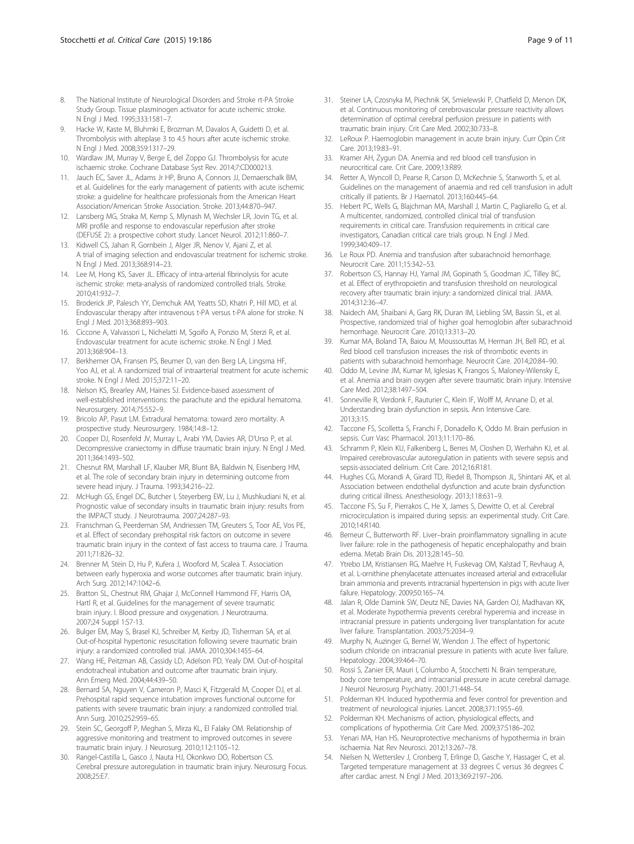- <span id="page-8-0"></span>8. The National Institute of Neurological Disorders and Stroke rt-PA Stroke Study Group. Tissue plasminogen activator for acute ischemic stroke. N Engl J Med. 1995;333:1581–7.
- Hacke W, Kaste M, Bluhmki E, Brozman M, Davalos A, Guidetti D, et al. Thrombolysis with alteplase 3 to 4.5 hours after acute ischemic stroke. N Engl J Med. 2008;359:1317–29.
- 10. Wardlaw JM, Murray V, Berge E, del Zoppo GJ. Thrombolysis for acute ischaemic stroke. Cochrane Database Syst Rev. 2014;7:CD000213.
- 11. Jauch EC, Saver JL, Adams Jr HP, Bruno A, Connors JJ, Demaerschalk BM, et al. Guidelines for the early management of patients with acute ischemic stroke: a guideline for healthcare professionals from the American Heart Association/American Stroke Association. Stroke. 2013;44:870–947.
- 12. Lansberg MG, Straka M, Kemp S, Mlynash M, Wechsler LR, Jovin TG, et al. MRI profile and response to endovascular reperfusion after stroke (DEFUSE 2): a prospective cohort study. Lancet Neurol. 2012;11:860–7.
- 13. Kidwell CS, Jahan R, Gornbein J, Alger JR, Nenov V, Ajani Z, et al. A trial of imaging selection and endovascular treatment for ischemic stroke. N Engl J Med. 2013;368:914–23.
- 14. Lee M, Hong KS, Saver JL. Efficacy of intra-arterial fibrinolysis for acute ischemic stroke: meta-analysis of randomized controlled trials. Stroke. 2010;41:932–7.
- 15. Broderick JP, Palesch YY, Demchuk AM, Yeatts SD, Khatri P, Hill MD, et al. Endovascular therapy after intravenous t-PA versus t-PA alone for stroke. N Engl J Med. 2013;368:893–903.
- 16. Ciccone A, Valvassori L, Nichelatti M, Sgoifo A, Ponzio M, Sterzi R, et al. Endovascular treatment for acute ischemic stroke. N Engl J Med. 2013;368:904–13.
- 17. Berkhemer OA, Fransen PS, Beumer D, van den Berg LA, Lingsma HF, Yoo AJ, et al. A randomized trial of intraarterial treatment for acute ischemic stroke. N Engl J Med. 2015;372:11–20.
- 18. Nelson KS, Brearley AM, Haines SJ. Evidence-based assessment of well-established interventions: the parachute and the epidural hematoma. Neurosurgery. 2014;75:552–9.
- 19. Bricolo AP, Pasut LM. Extradural hematoma: toward zero mortality. A prospective study. Neurosurgery. 1984;14:8–12.
- 20. Cooper DJ, Rosenfeld JV, Murray L, Arabi YM, Davies AR, D'Urso P, et al. Decompressive craniectomy in diffuse traumatic brain injury. N Engl J Med. 2011;364:1493–502.
- 21. Chesnut RM, Marshall LF, Klauber MR, Blunt BA, Baldwin N, Eisenberg HM, et al. The role of secondary brain injury in determining outcome from severe head injury. J Trauma. 1993;34:216–22.
- 22. McHugh GS, Engel DC, Butcher I, Steyerberg EW, Lu J, Mushkudiani N, et al. Prognostic value of secondary insults in traumatic brain injury: results from the IMPACT study. J Neurotrauma. 2007;24:287–93.
- 23. Franschman G, Peerdeman SM, Andriessen TM, Greuters S, Toor AE, Vos PE, et al. Effect of secondary prehospital risk factors on outcome in severe traumatic brain injury in the context of fast access to trauma care. J Trauma. 2011;71:826–32.
- 24. Brenner M, Stein D, Hu P, Kufera J, Wooford M, Scalea T. Association between early hyperoxia and worse outcomes after traumatic brain injury. Arch Surg. 2012;147:1042–6.
- 25. Bratton SL, Chestnut RM, Ghajar J, McConnell Hammond FF, Harris OA, Hartl R, et al. Guidelines for the management of severe traumatic brain injury. I. Blood pressure and oxygenation. J Neurotrauma. 2007;24 Suppl 1:S7-13.
- 26. Bulger EM, May S, Brasel KJ, Schreiber M, Kerby JD, Tisherman SA, et al. Out-of-hospital hypertonic resuscitation following severe traumatic brain injury: a randomized controlled trial. JAMA. 2010;304:1455–64.
- 27. Wang HE, Peitzman AB, Cassidy LD, Adelson PD, Yealy DM. Out-of-hospital endotracheal intubation and outcome after traumatic brain injury. Ann Emerg Med. 2004;44:439–50.
- 28. Bernard SA, Nguyen V, Cameron P, Masci K, Fitzgerald M, Cooper DJ, et al. Prehospital rapid sequence intubation improves functional outcome for patients with severe traumatic brain injury: a randomized controlled trial. Ann Surg. 2010;252:959–65.
- 29. Stein SC, Georgoff P, Meghan S, Mirza KL, El Falaky OM. Relationship of aggressive monitoring and treatment to improved outcomes in severe traumatic brain injury. J Neurosurg. 2010;112:1105–12.
- 30. Rangel-Castilla L, Gasco J, Nauta HJ, Okonkwo DO, Robertson CS. Cerebral pressure autoregulation in traumatic brain injury. Neurosurg Focus. 2008;25:E7.
- 31. Steiner LA, Czosnyka M, Piechnik SK, Smielewski P, Chatfield D, Menon DK, et al. Continuous monitoring of cerebrovascular pressure reactivity allows determination of optimal cerebral perfusion pressure in patients with traumatic brain injury. Crit Care Med. 2002;30:733–8.
- 32. LeRoux P. Haemoglobin management in acute brain injury. Curr Opin Crit Care. 2013;19:83–91.
- 33. Kramer AH, Zygun DA. Anemia and red blood cell transfusion in neurocritical care. Crit Care. 2009;13:R89.
- 34. Retter A, Wyncoll D, Pearse R, Carson D, McKechnie S, Stanworth S, et al. Guidelines on the management of anaemia and red cell transfusion in adult critically ill patients. Br J Haematol. 2013;160:445–64.
- 35. Hebert PC, Wells G, Blajchman MA, Marshall J, Martin C, Pagliarello G, et al. A multicenter, randomized, controlled clinical trial of transfusion requirements in critical care. Transfusion requirements in critical care investigators, Canadian critical care trials group. N Engl J Med. 1999;340:409–17.
- 36. Le Roux PD. Anemia and transfusion after subarachnoid hemorrhage. Neurocrit Care. 2011;15:342–53.
- 37. Robertson CS, Hannay HJ, Yamal JM, Gopinath S, Goodman JC, Tilley BC, et al. Effect of erythropoietin and transfusion threshold on neurological recovery after traumatic brain injury: a randomized clinical trial. JAMA. 2014;312:36–47.
- 38. Naidech AM, Shaibani A, Garg RK, Duran IM, Liebling SM, Bassin SL, et al. Prospective, randomized trial of higher goal hemoglobin after subarachnoid hemorrhage. Neurocrit Care. 2010;13:313–20.
- 39. Kumar MA, Boland TA, Baiou M, Moussouttas M, Herman JH, Bell RD, et al. Red blood cell transfusion increases the risk of thrombotic events in patients with subarachnoid hemorrhage. Neurocrit Care. 2014;20:84–90.
- 40. Oddo M, Levine JM, Kumar M, Iglesias K, Frangos S, Maloney-Wilensky E, et al. Anemia and brain oxygen after severe traumatic brain injury. Intensive Care Med. 2012;38:1497–504.
- 41. Sonneville R, Verdonk F, Rauturier C, Klein IF, Wolff M, Annane D, et al. Understanding brain dysfunction in sepsis. Ann Intensive Care. 2013;3:15.
- 42. Taccone FS, Scolletta S, Franchi F, Donadello K, Oddo M. Brain perfusion in sepsis. Curr Vasc Pharmacol. 2013;11:170–86.
- 43. Schramm P, Klein KU, Falkenberg L, Berres M, Closhen D, Werhahn KJ, et al. Impaired cerebrovascular autoregulation in patients with severe sepsis and sepsis-associated delirium. Crit Care. 2012;16:R181.
- 44. Hughes CG, Morandi A, Girard TD, Riedel B, Thompson JL, Shintani AK, et al. Association between endothelial dysfunction and acute brain dysfunction during critical illness. Anesthesiology. 2013;118:631–9.
- 45. Taccone FS, Su F, Pierrakos C, He X, James S, Dewitte O, et al. Cerebral microcirculation is impaired during sepsis: an experimental study. Crit Care. 2010;14:R140.
- 46. Bemeur C, Butterworth RF. Liver–brain proinflammatory signalling in acute liver failure: role in the pathogenesis of hepatic encephalopathy and brain edema. Metab Brain Dis. 2013;28:145–50.
- 47. Ytrebo LM, Kristiansen RG, Maehre H, Fuskevag OM, Kalstad T, Revhaug A, et al. L-ornithine phenylacetate attenuates increased arterial and extracellular brain ammonia and prevents intracranial hypertension in pigs with acute liver failure. Hepatology. 2009;50:165–74.
- 48. Jalan R, Olde Damink SW, Deutz NE, Davies NA, Garden OJ, Madhavan KK, et al. Moderate hypothermia prevents cerebral hyperemia and increase in intracranial pressure in patients undergoing liver transplantation for acute liver failure. Transplantation. 2003;75:2034–9.
- 49. Murphy N, Auzinger G, Bernel W, Wendon J. The effect of hypertonic sodium chloride on intracranial pressure in patients with acute liver failure. Hepatology. 2004;39:464–70.
- 50. Rossi S, Zanier ER, Mauri I, Columbo A, Stocchetti N. Brain temperature, body core temperature, and intracranial pressure in acute cerebral damage. J Neurol Neurosurg Psychiatry. 2001;71:448–54.
- 51. Polderman KH. Induced hypothermia and fever control for prevention and treatment of neurological injuries. Lancet. 2008;371:1955–69.
- 52. Polderman KH. Mechanisms of action, physiological effects, and complications of hypothermia. Crit Care Med. 2009;37:S186–202.
- 53. Yenari MA, Han HS. Neuroprotective mechanisms of hypothermia in brain ischaemia. Nat Rev Neurosci. 2012;13:267–78.
- 54. Nielsen N, Wetterslev J, Cronberg T, Erlinge D, Gasche Y, Hassager C, et al. Targeted temperature management at 33 degrees C versus 36 degrees C after cardiac arrest. N Engl J Med. 2013;369:2197–206.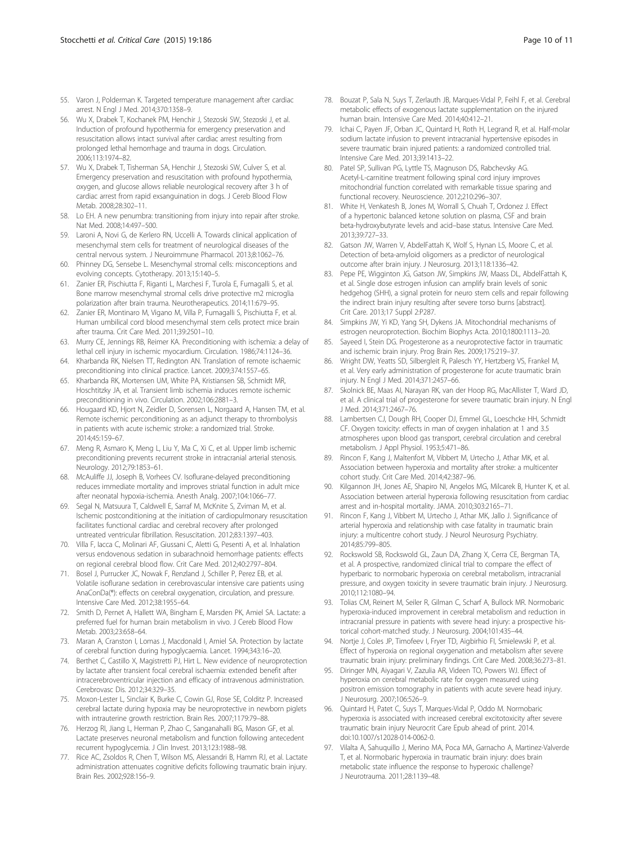- <span id="page-9-0"></span>55. Varon J, Polderman K. Targeted temperature management after cardiac arrest. N Engl J Med. 2014;370:1358–9.
- 56. Wu X, Drabek T, Kochanek PM, Henchir J, Stezoski SW, Stezoski J, et al. Induction of profound hypothermia for emergency preservation and resuscitation allows intact survival after cardiac arrest resulting from prolonged lethal hemorrhage and trauma in dogs. Circulation. 2006;113:1974–82.
- 57. Wu X, Drabek T, Tisherman SA, Henchir J, Stezoski SW, Culver S, et al. Emergency preservation and resuscitation with profound hypothermia, oxygen, and glucose allows reliable neurological recovery after 3 h of cardiac arrest from rapid exsanguination in dogs. J Cereb Blood Flow Metab. 2008;28:302–11.
- 58. Lo EH. A new penumbra: transitioning from injury into repair after stroke. Nat Med. 2008;14:497–500.
- 59. Laroni A, Novi G, de Kerlero RN, Uccelli A. Towards clinical application of mesenchymal stem cells for treatment of neurological diseases of the central nervous system. J Neuroimmune Pharmacol. 2013;8:1062–76.
- 60. Phinney DG, Sensebe L. Mesenchymal stromal cells: misconceptions and evolving concepts. Cytotherapy. 2013;15:140–5.
- 61. Zanier ER, Pischiutta F, Riganti L, Marchesi F, Turola E, Fumagalli S, et al. Bone marrow mesenchymal stromal cells drive protective m2 microglia polarization after brain trauma. Neurotherapeutics. 2014;11:679–95.
- 62. Zanier ER, Montinaro M, Vigano M, Villa P, Fumagalli S, Pischiutta F, et al. Human umbilical cord blood mesenchymal stem cells protect mice brain after trauma. Crit Care Med. 2011;39:2501–10.
- 63. Murry CE, Jennings RB, Reimer KA. Preconditioning with ischemia: a delay of lethal cell injury in ischemic myocardium. Circulation. 1986;74:1124–36.
- 64. Kharbanda RK, Nielsen TT, Redington AN. Translation of remote ischaemic preconditioning into clinical practice. Lancet. 2009;374:1557–65.
- 65. Kharbanda RK, Mortensen UM, White PA, Kristiansen SB, Schmidt MR, Hoschtitzky JA, et al. Transient limb ischemia induces remote ischemic preconditioning in vivo. Circulation. 2002;106:2881–3.
- 66. Hougaard KD, Hjort N, Zeidler D, Sorensen L, Norgaard A, Hansen TM, et al. Remote ischemic perconditioning as an adjunct therapy to thrombolysis in patients with acute ischemic stroke: a randomized trial. Stroke. 2014;45:159–67.
- 67. Meng R, Asmaro K, Meng L, Liu Y, Ma C, Xi C, et al. Upper limb ischemic preconditioning prevents recurrent stroke in intracranial arterial stenosis. Neurology. 2012;79:1853–61.
- 68. McAuliffe JJ, Joseph B, Vorhees CV. Isoflurane-delayed preconditioning reduces immediate mortality and improves striatal function in adult mice after neonatal hypoxia-ischemia. Anesth Analg. 2007;104:1066–77.
- 69. Segal N, Matsuura T, Caldwell E, Sarraf M, McKnite S, Zviman M, et al. Ischemic postconditioning at the initiation of cardiopulmonary resuscitation facilitates functional cardiac and cerebral recovery after prolonged untreated ventricular fibrillation. Resuscitation. 2012;83:1397–403.
- 70. Villa F, Iacca C, Molinari AF, Giussani C, Aletti G, Pesenti A, et al. Inhalation versus endovenous sedation in subarachnoid hemorrhage patients: effects on regional cerebral blood flow. Crit Care Med. 2012;40:2797–804.
- 71. Bosel J, Purrucker JC, Nowak F, Renzland J, Schiller P, Perez EB, et al. Volatile isoflurane sedation in cerebrovascular intensive care patients using AnaConDa(®): effects on cerebral oxygenation, circulation, and pressure. Intensive Care Med. 2012;38:1955–64.
- 72. Smith D, Pernet A, Hallett WA, Bingham E, Marsden PK, Amiel SA. Lactate: a preferred fuel for human brain metabolism in vivo. J Cereb Blood Flow Metab. 2003;23:658–64.
- 73. Maran A, Cranston I, Lomas J, Macdonald I, Amiel SA. Protection by lactate of cerebral function during hypoglycaemia. Lancet. 1994;343:16–20.
- 74. Berthet C, Castillo X, Magistretti PJ, Hirt L. New evidence of neuroprotection by lactate after transient focal cerebral ischaemia: extended benefit after intracerebroventricular injection and efficacy of intravenous administration. Cerebrovasc Dis. 2012;34:329–35.
- 75. Moxon-Lester L, Sinclair K, Burke C, Cowin GJ, Rose SE, Colditz P. Increased cerebral lactate during hypoxia may be neuroprotective in newborn piglets with intrauterine growth restriction. Brain Res. 2007;1179:79–88.
- 76. Herzog RI, Jiang L, Herman P, Zhao C, Sanganahalli BG, Mason GF, et al. Lactate preserves neuronal metabolism and function following antecedent recurrent hypoglycemia. J Clin Invest. 2013;123:1988–98.
- 77. Rice AC, Zsoldos R, Chen T, Wilson MS, Alessandri B, Hamm RJ, et al. Lactate administration attenuates cognitive deficits following traumatic brain injury. Brain Res. 2002;928:156–9.
- 78. Bouzat P, Sala N, Suys T, Zerlauth JB, Marques-Vidal P, Feihl F, et al. Cerebral metabolic effects of exogenous lactate supplementation on the injured human brain. Intensive Care Med. 2014;40:412–21.
- 79. Ichai C, Payen JF, Orban JC, Quintard H, Roth H, Legrand R, et al. Half-molar sodium lactate infusion to prevent intracranial hypertensive episodes in severe traumatic brain injured patients: a randomized controlled trial. Intensive Care Med. 2013;39:1413–22.
- 80. Patel SP, Sullivan PG, Lyttle TS, Magnuson DS, Rabchevsky AG. Acetyl-L-carnitine treatment following spinal cord injury improves mitochondrial function correlated with remarkable tissue sparing and functional recovery. Neuroscience. 2012;210:296–307.
- 81. White H, Venkatesh B, Jones M, Worrall S. Chuah T. Ordonez J. Fffect of a hypertonic balanced ketone solution on plasma, CSF and brain beta-hydroxybutyrate levels and acid–base status. Intensive Care Med. 2013;39:727–33.
- 82. Gatson JW, Warren V, AbdelFattah K, Wolf S, Hynan LS, Moore C, et al. Detection of beta-amyloid oligomers as a predictor of neurological outcome after brain injury. J Neurosurg. 2013;118:1336–42.
- 83. Pepe PE, Wigginton JG, Gatson JW, Simpkins JW, Maass DL, AbdelFattah K, et al. Single dose estrogen infusion can amplify brain levels of sonic hedgehog (SHH), a signal protein for neuro stem cells and repair following the indirect brain injury resulting after severe torso burns [abstract]. Crit Care. 2013;17 Suppl 2:P287.
- 84. Simpkins JW, Yi KD, Yang SH, Dykens JA. Mitochondrial mechanisms of estrogen neuroprotection. Biochim Biophys Acta. 2010;1800:1113–20.
- 85. Sayeed I, Stein DG. Progesterone as a neuroprotective factor in traumatic and ischemic brain injury. Prog Brain Res. 2009;175:219–37.
- 86. Wright DW, Yeatts SD, Silbergleit R, Palesch YY, Hertzberg VS, Frankel M, et al. Very early administration of progesterone for acute traumatic brain injury. N Engl J Med. 2014;371:2457–66.
- 87. Skolnick BE, Maas AI, Narayan RK, van der Hoop RG, MacAllister T, Ward JD, et al. A clinical trial of progesterone for severe traumatic brain injury. N Engl J Med. 2014;371:2467–76.
- 88. Lambertsen CJ, Dough RH, Cooper DJ, Emmel GL, Loeschcke HH, Schmidt CF. Oxygen toxicity: effects in man of oxygen inhalation at 1 and 3.5 atmospheres upon blood gas transport, cerebral circulation and cerebral metabolism. J Appl Physiol. 1953;5:471–86.
- 89. Rincon F, Kang J, Maltenfort M, Vibbert M, Urtecho J, Athar MK, et al. Association between hyperoxia and mortality after stroke: a multicenter cohort study. Crit Care Med. 2014;42:387–96.
- 90. Kilgannon JH, Jones AE, Shapiro NI, Angelos MG, Milcarek B, Hunter K, et al. Association between arterial hyperoxia following resuscitation from cardiac arrest and in-hospital mortality. JAMA. 2010;303:2165–71.
- 91. Rincon F, Kang J, Vibbert M, Urtecho J, Athar MK, Jallo J. Significance of arterial hyperoxia and relationship with case fatality in traumatic brain injury: a multicentre cohort study. J Neurol Neurosurg Psychiatry. 2014;85:799–805.
- 92. Rockswold SB, Rockswold GL, Zaun DA, Zhang X, Cerra CE, Bergman TA, et al. A prospective, randomized clinical trial to compare the effect of hyperbaric to normobaric hyperoxia on cerebral metabolism, intracranial pressure, and oxygen toxicity in severe traumatic brain injury. J Neurosurg. 2010;112:1080–94.
- 93. Tolias CM, Reinert M, Seiler R, Gilman C, Scharf A, Bullock MR. Normobaric hyperoxia-induced improvement in cerebral metabolism and reduction in intracranial pressure in patients with severe head injury: a prospective historical cohort-matched study. J Neurosurg. 2004;101:435–44.
- Nortje J, Coles JP, Timofeev I, Fryer TD, Aigbirhio FI, Smielewski P, et al. Effect of hyperoxia on regional oxygenation and metabolism after severe traumatic brain injury: preliminary findings. Crit Care Med. 2008;36:273–81.
- 95. Diringer MN, Aiyagari V, Zazulia AR, Videen TO, Powers WJ. Effect of hyperoxia on cerebral metabolic rate for oxygen measured using positron emission tomography in patients with acute severe head injury. J Neurosurg. 2007;106:526–9.
- 96. Quintard H, Patet C, Suys T, Marques-Vidal P, Oddo M. Normobaric hyperoxia is associated with increased cerebral excitotoxicity after severe traumatic brain injury Neurocrit Care Epub ahead of print. 2014. doi:10.1007/s12028-014-0062-0.
- 97. Vilalta A, Sahuquillo J, Merino MA, Poca MA, Garnacho A, Martinez-Valverde T, et al. Normobaric hyperoxia in traumatic brain injury: does brain metabolic state influence the response to hyperoxic challenge? J Neurotrauma. 2011;28:1139–48.